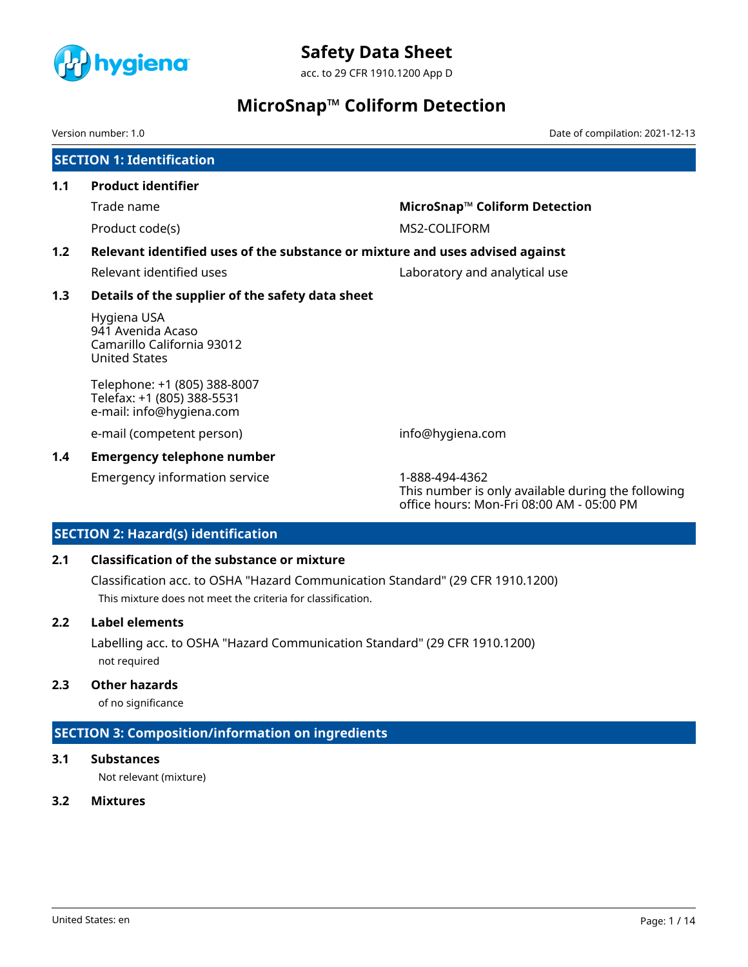

acc. to 29 CFR 1910.1200 App D

# **MicroSnap™ Coliform Detection**

Version number: 1.0 Date of compilation: 2021-12-13

|     | <b>SECTION 1: Identification</b>                                                       |                                                                                                                   |
|-----|----------------------------------------------------------------------------------------|-------------------------------------------------------------------------------------------------------------------|
| 1.1 | <b>Product identifier</b>                                                              |                                                                                                                   |
|     | Trade name                                                                             | MicroSnap™ Coliform Detection                                                                                     |
|     | Product code(s)                                                                        | MS2-COLIFORM                                                                                                      |
| 1.2 | Relevant identified uses of the substance or mixture and uses advised against          |                                                                                                                   |
|     | Relevant identified uses                                                               | Laboratory and analytical use                                                                                     |
| 1.3 | Details of the supplier of the safety data sheet                                       |                                                                                                                   |
|     | Hygiena USA<br>941 Avenida Acaso<br>Camarillo California 93012<br><b>United States</b> |                                                                                                                   |
|     | Telephone: +1 (805) 388-8007<br>Telefax: +1 (805) 388-5531<br>e-mail: info@hygiena.com |                                                                                                                   |
|     | e-mail (competent person)                                                              | info@hygiena.com                                                                                                  |
| 1.4 | <b>Emergency telephone number</b>                                                      |                                                                                                                   |
|     | <b>Emergency information service</b>                                                   | 1-888-494-4362<br>This number is only available during the following<br>office hours: Mon-Fri 08:00 AM - 05:00 PM |

# **SECTION 2: Hazard(s) identification**

## **2.1 Classification of the substance or mixture**

Classification acc. to OSHA "Hazard Communication Standard" (29 CFR 1910.1200) This mixture does not meet the criteria for classification.

## **2.2 Label elements**

Labelling acc. to OSHA "Hazard Communication Standard" (29 CFR 1910.1200) not required

# **2.3 Other hazards**

of no significance

# **SECTION 3: Composition/information on ingredients**

## **3.1 Substances**

Not relevant (mixture)

## **3.2 Mixtures**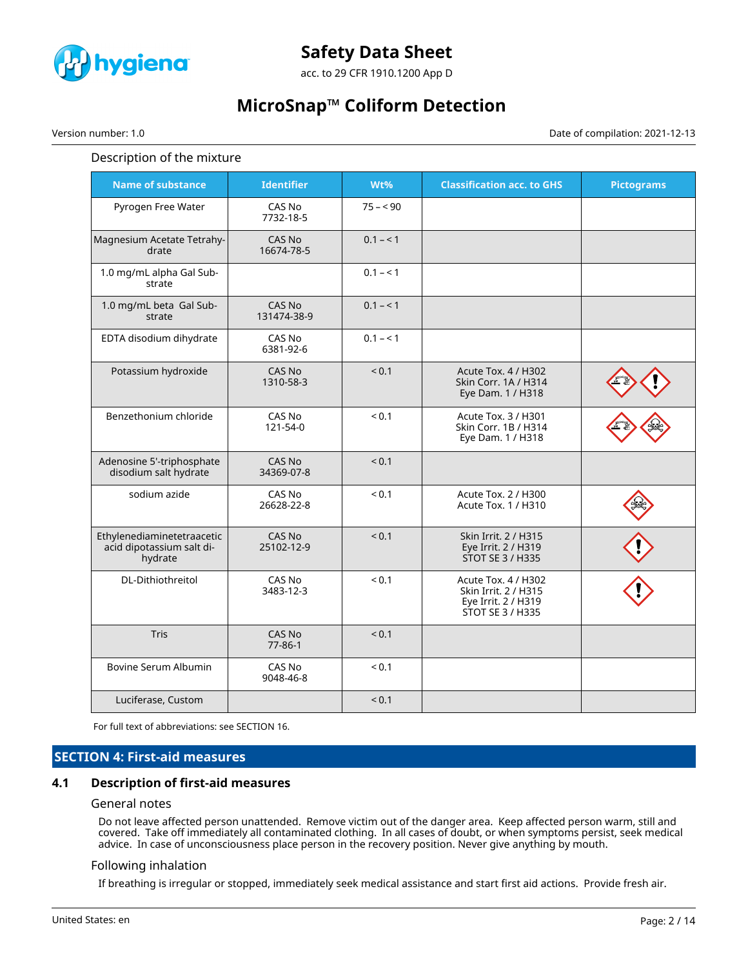

acc. to 29 CFR 1910.1200 App D

# **MicroSnap™ Coliform Detection**

Version number: 1.0 Date of compilation: 2021-12-13

### Description of the mixture

| <b>Name of substance</b>                                           | <b>Identifier</b>            | Wt%        | <b>Classification acc. to GHS</b>                                                      | <b>Pictograms</b> |
|--------------------------------------------------------------------|------------------------------|------------|----------------------------------------------------------------------------------------|-------------------|
| Pyrogen Free Water                                                 | CAS No<br>7732-18-5          | $75 - 90$  |                                                                                        |                   |
| Magnesium Acetate Tetrahy-<br>drate                                | CAS No<br>16674-78-5         | $0.1 - 1$  |                                                                                        |                   |
| 1.0 mg/mL alpha Gal Sub-<br>strate                                 |                              | $0.1 - 1$  |                                                                                        |                   |
| 1.0 mg/mL beta Gal Sub-<br>strate                                  | <b>CAS No</b><br>131474-38-9 | $0.1 - 1$  |                                                                                        |                   |
| EDTA disodium dihydrate                                            | CAS No<br>6381-92-6          | $0.1 - 1$  |                                                                                        |                   |
| Potassium hydroxide                                                | CAS No<br>1310-58-3          | ${}_{0.1}$ | Acute Tox. 4 / H302<br>Skin Corr. 1A / H314<br>Eye Dam. 1 / H318                       |                   |
| Benzethonium chloride                                              | CAS No<br>121-54-0           | ${}_{0.1}$ | Acute Tox. 3 / H301<br>Skin Corr. 1B / H314<br>Eye Dam. 1 / H318                       |                   |
| Adenosine 5'-triphosphate<br>disodium salt hydrate                 | CAS No<br>34369-07-8         | < 0.1      |                                                                                        |                   |
| sodium azide                                                       | CAS No<br>26628-22-8         | ${}_{0.1}$ | Acute Tox. 2 / H300<br>Acute Tox. 1 / H310                                             |                   |
| Ethylenediaminetetraacetic<br>acid dipotassium salt di-<br>hydrate | CAS No<br>25102-12-9         | < 0.1      | Skin Irrit. 2 / H315<br>Eye Irrit. 2 / H319<br>STOT SE 3 / H335                        |                   |
| DL-Dithiothreitol                                                  | CAS No<br>3483-12-3          | < 0.1      | Acute Tox. 4 / H302<br>Skin Irrit. 2 / H315<br>Eye Irrit. 2 / H319<br>STOT SE 3 / H335 |                   |
| Tris                                                               | CAS No<br>$77 - 86 - 1$      | ${}_{0.1}$ |                                                                                        |                   |
| Bovine Serum Albumin                                               | CAS No<br>9048-46-8          | ${}_{0.1}$ |                                                                                        |                   |
| Luciferase, Custom                                                 |                              | < 0.1      |                                                                                        |                   |

For full text of abbreviations: see SECTION 16.

# **SECTION 4: First-aid measures**

## **4.1 Description of first-aid measures**

#### General notes

Do not leave affected person unattended. Remove victim out of the danger area. Keep affected person warm, still and covered. Take off immediately all contaminated clothing. In all cases of doubt, or when symptoms persist, seek medical advice. In case of unconsciousness place person in the recovery position. Never give anything by mouth.

## Following inhalation

If breathing is irregular or stopped, immediately seek medical assistance and start first aid actions. Provide fresh air.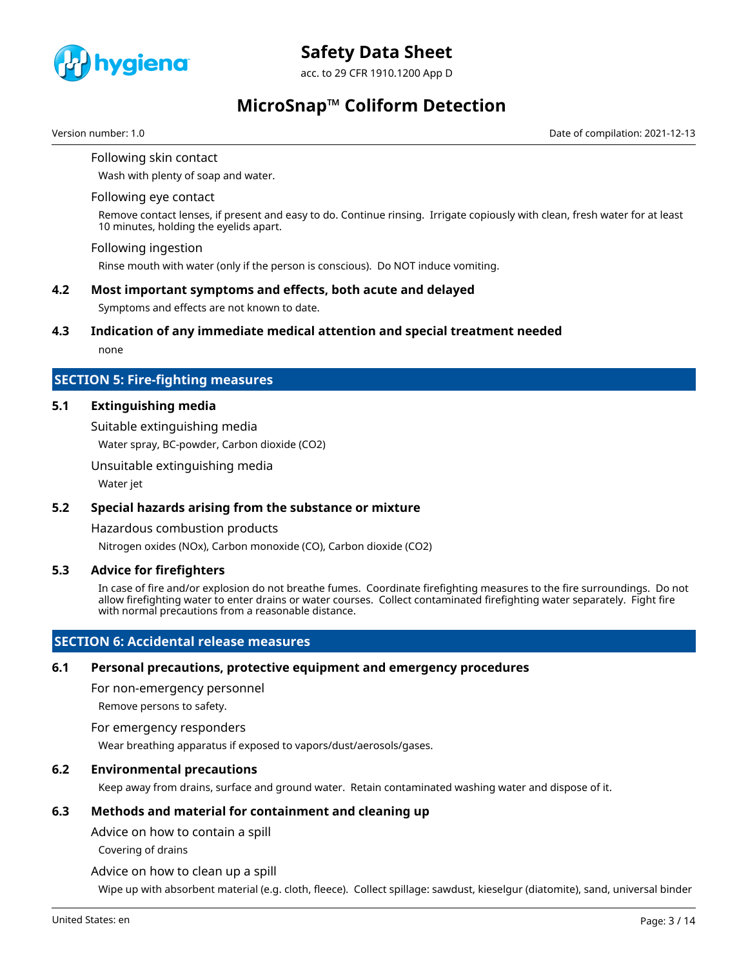

acc. to 29 CFR 1910.1200 App D

# **MicroSnap™ Coliform Detection**

Version number: 1.0 Date of compilation: 2021-12-13

Following skin contact Wash with plenty of soap and water.

#### Following eye contact

Remove contact lenses, if present and easy to do. Continue rinsing. Irrigate copiously with clean, fresh water for at least 10 minutes, holding the eyelids apart.

#### Following ingestion

Rinse mouth with water (only if the person is conscious). Do NOT induce vomiting.

### **4.2 Most important symptoms and effects, both acute and delayed**

Symptoms and effects are not known to date.

#### **4.3 Indication of any immediate medical attention and special treatment needed**

none

## **SECTION 5: Fire-fighting measures**

## **5.1 Extinguishing media**

Suitable extinguishing media

Water spray, BC-powder, Carbon dioxide (CO2)

Unsuitable extinguishing media

Water jet

## **5.2 Special hazards arising from the substance or mixture**

Hazardous combustion products

Nitrogen oxides (NOx), Carbon monoxide (CO), Carbon dioxide (CO2)

## **5.3 Advice for firefighters**

In case of fire and/or explosion do not breathe fumes. Coordinate firefighting measures to the fire surroundings. Do not allow firefighting water to enter drains or water courses. Collect contaminated firefighting water separately. Fight fire with normal precautions from a reasonable distance.

## **SECTION 6: Accidental release measures**

## **6.1 Personal precautions, protective equipment and emergency procedures**

For non-emergency personnel

Remove persons to safety.

#### For emergency responders

Wear breathing apparatus if exposed to vapors/dust/aerosols/gases.

## **6.2 Environmental precautions**

Keep away from drains, surface and ground water. Retain contaminated washing water and dispose of it.

## **6.3 Methods and material for containment and cleaning up**

Advice on how to contain a spill

Covering of drains

Advice on how to clean up a spill

Wipe up with absorbent material (e.g. cloth, fleece). Collect spillage: sawdust, kieselgur (diatomite), sand, universal binder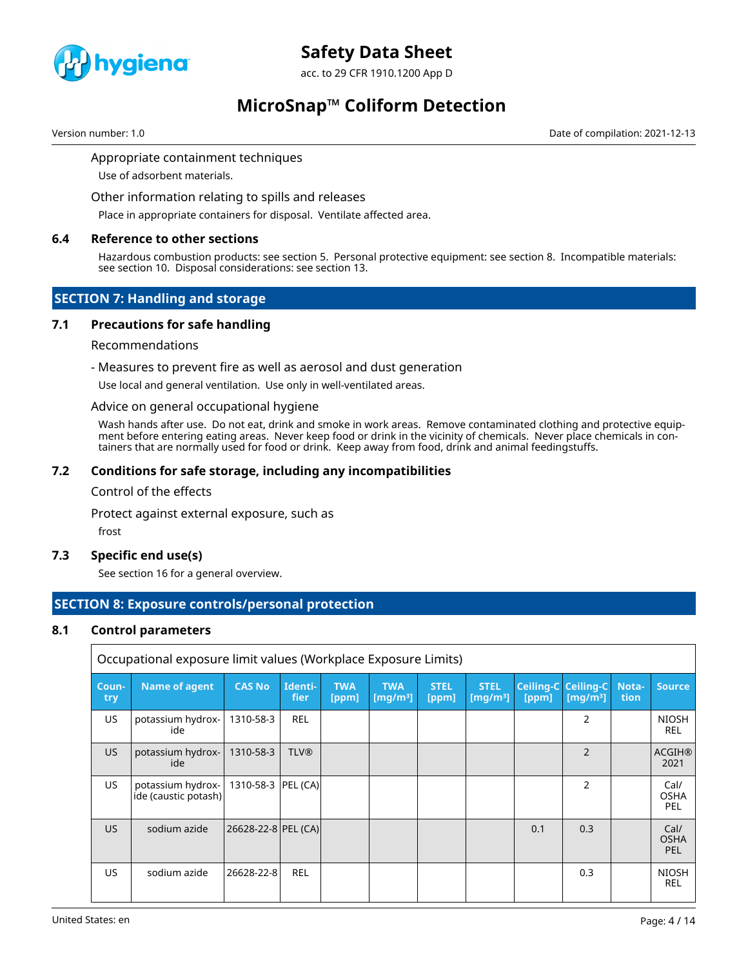

acc. to 29 CFR 1910.1200 App D

# **MicroSnap™ Coliform Detection**

Version number: 1.0 Date of compilation: 2021-12-13

## Appropriate containment techniques

Use of adsorbent materials.

Other information relating to spills and releases

Place in appropriate containers for disposal. Ventilate affected area.

#### **6.4 Reference to other sections**

Hazardous combustion products: see section 5. Personal protective equipment: see section 8. Incompatible materials: see section 10. Disposal considerations: see section 13.

## **SECTION 7: Handling and storage**

## **7.1 Precautions for safe handling**

#### Recommendations

#### - Measures to prevent fire as well as aerosol and dust generation

Use local and general ventilation. Use only in well-ventilated areas.

#### Advice on general occupational hygiene

Wash hands after use. Do not eat, drink and smoke in work areas. Remove contaminated clothing and protective equipment before entering eating areas. Never keep food or drink in the vicinity of chemicals. Never place chemicals in containers that are normally used for food or drink. Keep away from food, drink and animal feedingstuffs.

## **7.2 Conditions for safe storage, including any incompatibilities**

#### Control of the effects

Protect against external exposure, such as

frost

## **7.3 Specific end use(s)**

See section 16 for a general overview.

# **SECTION 8: Exposure controls/personal protection**

## **8.1 Control parameters**

|              | Occupational exposure limit values (Workplace Exposure Limits) |                       |                 |                     |                           |                      |                                              |       |                                    |                      |                            |
|--------------|----------------------------------------------------------------|-----------------------|-----------------|---------------------|---------------------------|----------------------|----------------------------------------------|-------|------------------------------------|----------------------|----------------------------|
| Coun-<br>try | Name of agent                                                  | <b>CAS No</b>         | Identi-<br>fier | <b>TWA</b><br>[ppm] | <b>TWA</b><br>[ $mq/m3$ ] | <b>STEL</b><br>[ppm] | <b>STEL</b><br>$\left[\frac{mq}{m^3}\right]$ | [ppm] | Ceiling-C Ceiling-C<br>[ $mq/m3$ ] | Nota-<br><b>tion</b> | <b>Source</b>              |
| US           | potassium hydrox-<br>ide                                       | 1310-58-3             | <b>REL</b>      |                     |                           |                      |                                              |       | $\overline{2}$                     |                      | <b>NIOSH</b><br><b>REL</b> |
| US.          | potassium hydrox-<br>ide                                       | 1310-58-3             | <b>TLV®</b>     |                     |                           |                      |                                              |       | 2                                  |                      | <b>ACGIH®</b><br>2021      |
| US.          | potassium hydrox-<br>ide (caustic potash)                      | 1310-58-3  PEL (CA)   |                 |                     |                           |                      |                                              |       | $\overline{2}$                     |                      | Cal/<br><b>OSHA</b><br>PEL |
| US.          | sodium azide                                                   | 26628-22-8   PEL (CA) |                 |                     |                           |                      |                                              | 0.1   | 0.3                                |                      | Cal/<br><b>OSHA</b><br>PEL |
| <b>US</b>    | sodium azide                                                   | 26628-22-8            | <b>REL</b>      |                     |                           |                      |                                              |       | 0.3                                |                      | <b>NIOSH</b><br><b>REL</b> |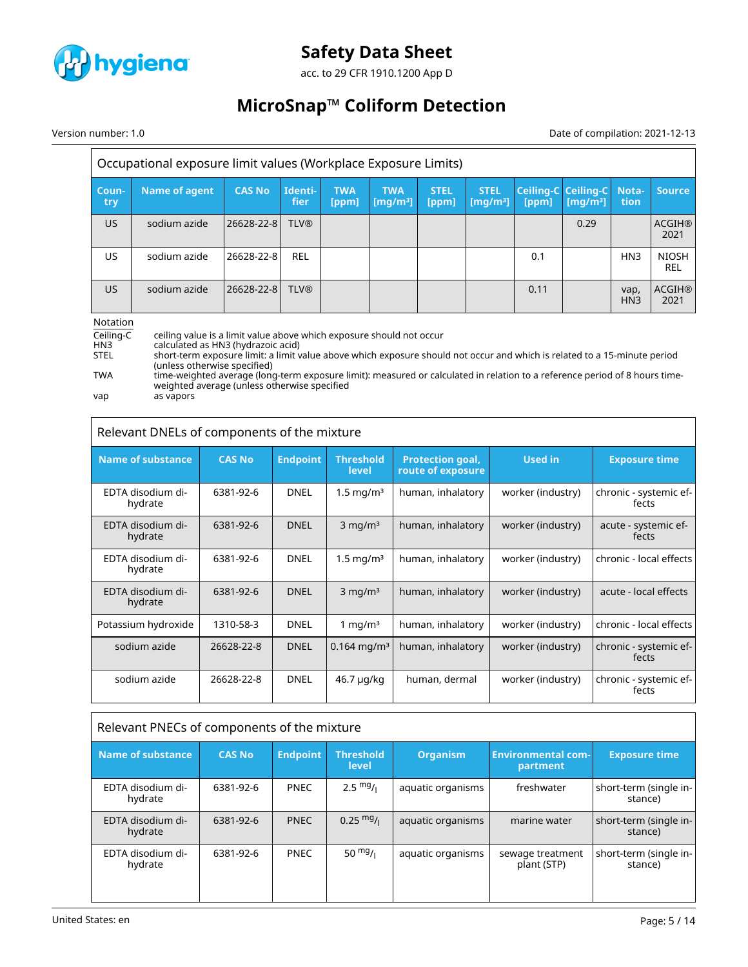

acc. to 29 CFR 1910.1200 App D

# **MicroSnap™ Coliform Detection**

Version number: 1.0 Date of compilation: 2021-12-13

| Occupational exposure limit values (Workplace Exposure Limits) |               |               |                 |                     |                                             |                      |                                     |       |                                    |                         |                            |
|----------------------------------------------------------------|---------------|---------------|-----------------|---------------------|---------------------------------------------|----------------------|-------------------------------------|-------|------------------------------------|-------------------------|----------------------------|
| Coun-<br>try                                                   | Name of agent | <b>CAS No</b> | Identi-<br>fier | <b>TWA</b><br>[ppm] | <b>TWA</b><br>$\left[\frac{mq}{m^3}\right]$ | <b>STEL</b><br>[ppm] | <b>STEL</b><br>[mq/m <sup>3</sup> ] | [ppm] | Ceiling-C Ceiling-C<br>[ $mq/m3$ ] | Nota-<br>tion.          | <b>Source</b>              |
| <b>US</b>                                                      | sodium azide  | 26628-22-8    | <b>TLV®</b>     |                     |                                             |                      |                                     |       | 0.29                               |                         | <b>ACGIH®</b><br>2021      |
| US                                                             | sodium azide  | 26628-22-8    | <b>REL</b>      |                     |                                             |                      |                                     | 0.1   |                                    | HN <sub>3</sub>         | <b>NIOSH</b><br><b>REL</b> |
| <b>US</b>                                                      | sodium azide  | 26628-22-8    | <b>TLV®</b>     |                     |                                             |                      |                                     | 0.11  |                                    | vap,<br>HN <sub>3</sub> | <b>ACGIH®</b><br>2021      |
| Notation                                                       |               |               |                 |                     |                                             |                      |                                     |       |                                    |                         |                            |

Ceiling-C ceiling value is a limit value above which exposure should not occur<br>HN3 calculated as HN3 (hydrazoic acid)

HN3 calculated as HN3 (hydrazoic acid)

STEL short-term exposure limit: a limit value above which exposure should not occur and which is related to a 15-minute period (unless otherwise specified)

TWA time-weighted average (long-term exposure limit): measured or calculated in relation to a reference period of 8 hours timeweighted average (unless otherwise specified vap as vapors

| Relevant DNELs of components of the mixture |               |                 |                           |                                              |                   |                                 |  |  |
|---------------------------------------------|---------------|-----------------|---------------------------|----------------------------------------------|-------------------|---------------------------------|--|--|
| <b>Name of substance</b>                    | <b>CAS No</b> | <b>Endpoint</b> | <b>Threshold</b><br>level | <b>Protection goal,</b><br>route of exposure | <b>Used in</b>    | <b>Exposure time</b>            |  |  |
| EDTA disodium di-<br>hydrate                | 6381-92-6     | <b>DNEL</b>     | $1.5 \,\mathrm{mg/m^3}$   | human, inhalatory                            | worker (industry) | chronic - systemic ef-<br>fects |  |  |
| EDTA disodium di-<br>hydrate                | 6381-92-6     | <b>DNEL</b>     | $3$ mg/m <sup>3</sup>     | human, inhalatory                            | worker (industry) | acute - systemic ef-<br>fects   |  |  |
| EDTA disodium di-<br>hydrate                | 6381-92-6     | <b>DNEL</b>     | $1.5 \,\mathrm{mg/m^3}$   | human, inhalatory                            | worker (industry) | chronic - local effects         |  |  |
| EDTA disodium di-<br>hydrate                | 6381-92-6     | <b>DNEL</b>     | $3$ mg/m <sup>3</sup>     | human, inhalatory                            | worker (industry) | acute - local effects           |  |  |
| Potassium hydroxide                         | 1310-58-3     | <b>DNEL</b>     | 1 mg/m $3$                | human, inhalatory                            | worker (industry) | chronic - local effects         |  |  |
| sodium azide                                | 26628-22-8    | <b>DNEL</b>     | $0.164 \,\mathrm{mg/m^3}$ | human, inhalatory                            | worker (industry) | chronic - systemic ef-<br>fects |  |  |
| sodium azide                                | 26628-22-8    | <b>DNEL</b>     | 46.7 µg/kg                | human, dermal                                | worker (industry) | chronic - systemic ef-<br>fects |  |  |

# Relevant PNECs of components of the mixture

| Name of substance            | <b>CAS No</b> | <b>Endpoint</b> | <b>Threshold</b><br><b>level</b> | <b>Organism</b>   | <b>Environmental com-</b><br>partment | <b>Exposure time</b>              |
|------------------------------|---------------|-----------------|----------------------------------|-------------------|---------------------------------------|-----------------------------------|
| EDTA disodium di-<br>hydrate | 6381-92-6     | <b>PNEC</b>     | $2.5 \frac{mg}{l}$               | aquatic organisms | freshwater                            | short-term (single in-<br>stance) |
| EDTA disodium di-<br>hydrate | 6381-92-6     | <b>PNEC</b>     | $0.25 \text{ mg}$ /              | aquatic organisms | marine water                          | short-term (single in-<br>stance) |
| EDTA disodium di-<br>hydrate | 6381-92-6     | <b>PNEC</b>     | $50 \frac{mg}{l}$                | aquatic organisms | sewage treatment<br>plant (STP)       | short-term (single in-<br>stance) |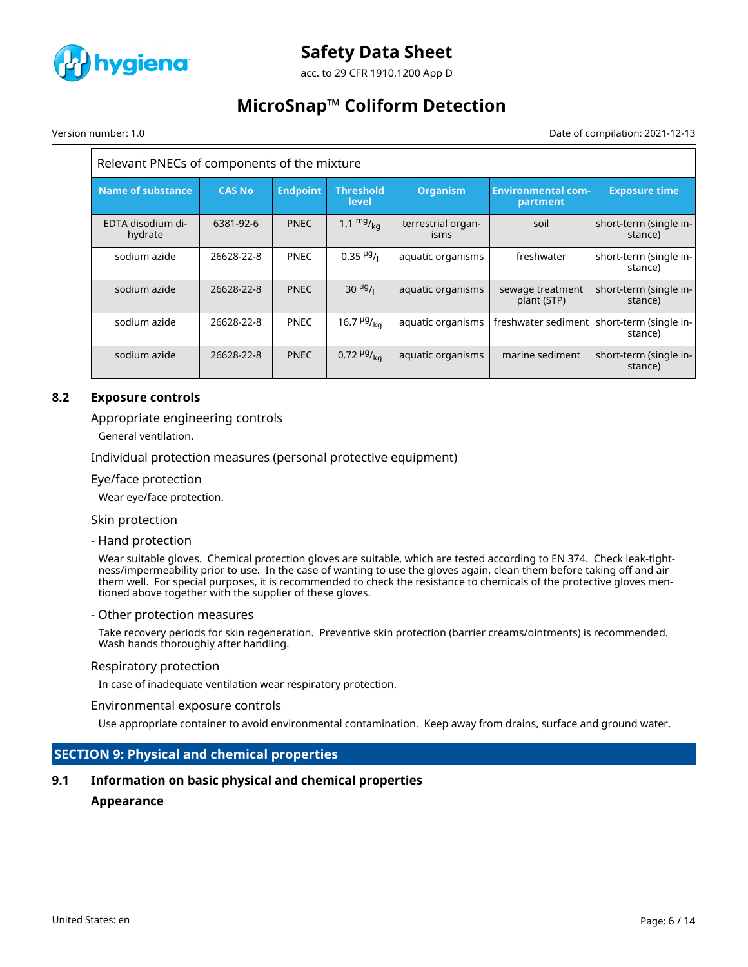

acc. to 29 CFR 1910.1200 App D

# **MicroSnap™ Coliform Detection**

Version number: 1.0 Date of compilation: 2021-12-13

| Relevant PNECs of components of the mixture |               |                 |                                  |                            |                                       |                                   |  |  |  |
|---------------------------------------------|---------------|-----------------|----------------------------------|----------------------------|---------------------------------------|-----------------------------------|--|--|--|
| Name of substance                           | <b>CAS No</b> | <b>Endpoint</b> | <b>Threshold</b><br><b>level</b> | <b>Organism</b>            | <b>Environmental com-</b><br>partment | <b>Exposure time</b>              |  |  |  |
| EDTA disodium di-<br>hydrate                | 6381-92-6     | <b>PNEC</b>     | 1.1 $mg/_{ka}$                   | terrestrial organ-<br>isms | soil                                  | short-term (single in-<br>stance) |  |  |  |
| sodium azide                                | 26628-22-8    | <b>PNEC</b>     | $0.35~{\rm \mu g}$ /             | aquatic organisms          | freshwater                            | short-term (single in-<br>stance) |  |  |  |
| sodium azide                                | 26628-22-8    | <b>PNEC</b>     | $30 \frac{\mu g}{I}$             | aquatic organisms          | sewage treatment<br>plant (STP)       | short-term (single in-<br>stance) |  |  |  |
| sodium azide                                | 26628-22-8    | <b>PNEC</b>     | 16.7 $\frac{\mu g}{kq}$          | aquatic organisms          | freshwater sediment                   | short-term (single in-<br>stance) |  |  |  |
| sodium azide                                | 26628-22-8    | <b>PNEC</b>     | $0.72 \frac{\mu g}{\text{kg}}$   | aquatic organisms          | marine sediment                       | short-term (single in-<br>stance) |  |  |  |

## **8.2 Exposure controls**

## Appropriate engineering controls

General ventilation.

Individual protection measures (personal protective equipment)

#### Eye/face protection

Wear eye/face protection.

#### Skin protection

- Hand protection

Wear suitable gloves. Chemical protection gloves are suitable, which are tested according to EN 374. Check leak-tightness/impermeability prior to use. In the case of wanting to use the gloves again, clean them before taking off and air them well. For special purposes, it is recommended to check the resistance to chemicals of the protective gloves mentioned above together with the supplier of these gloves.

#### - Other protection measures

Take recovery periods for skin regeneration. Preventive skin protection (barrier creams/ointments) is recommended. Wash hands thoroughly after handling.

#### Respiratory protection

In case of inadequate ventilation wear respiratory protection.

#### Environmental exposure controls

Use appropriate container to avoid environmental contamination. Keep away from drains, surface and ground water.

## **SECTION 9: Physical and chemical properties**

## **9.1 Information on basic physical and chemical properties**

#### **Appearance**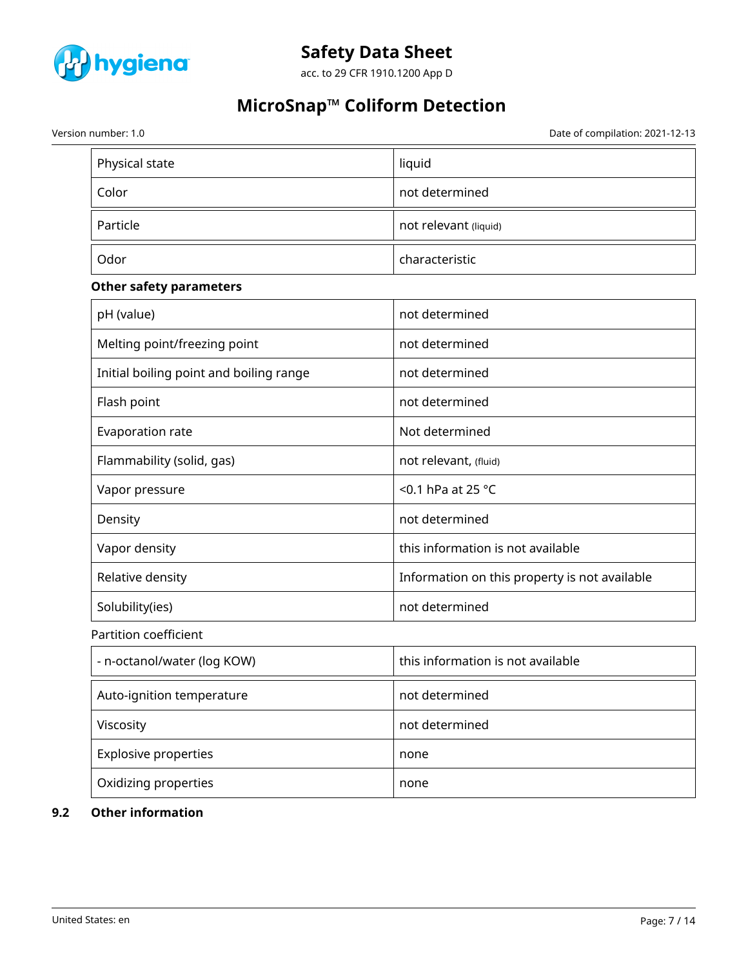

acc. to 29 CFR 1910.1200 App D

# **MicroSnap™ Coliform Detection**

Version number: 1.0 Date of compilation: 2021-12-13

| Physical state                          | liquid                                        |
|-----------------------------------------|-----------------------------------------------|
| Color                                   | not determined                                |
| Particle                                | not relevant (liquid)                         |
| Odor                                    | characteristic                                |
| <b>Other safety parameters</b>          |                                               |
| pH (value)                              | not determined                                |
| Melting point/freezing point            | not determined                                |
| Initial boiling point and boiling range | not determined                                |
| Flash point                             | not determined                                |
| Evaporation rate                        | Not determined                                |
| Flammability (solid, gas)               | not relevant, (fluid)                         |
| Vapor pressure                          | <0.1 hPa at 25 $^{\circ}$ C                   |
| Density                                 | not determined                                |
| Vapor density                           | this information is not available             |
| Relative density                        | Information on this property is not available |
| Solubility(ies)                         | not determined                                |
| Partition coefficient                   |                                               |
| - n-octanol/water (log KOW)             | this information is not available             |
| Auto-ignition temperature               | not determined                                |
| Viscosity                               | not determined                                |
| <b>Explosive properties</b>             | none                                          |
| Oxidizing properties                    | none                                          |

# **9.2 Other information**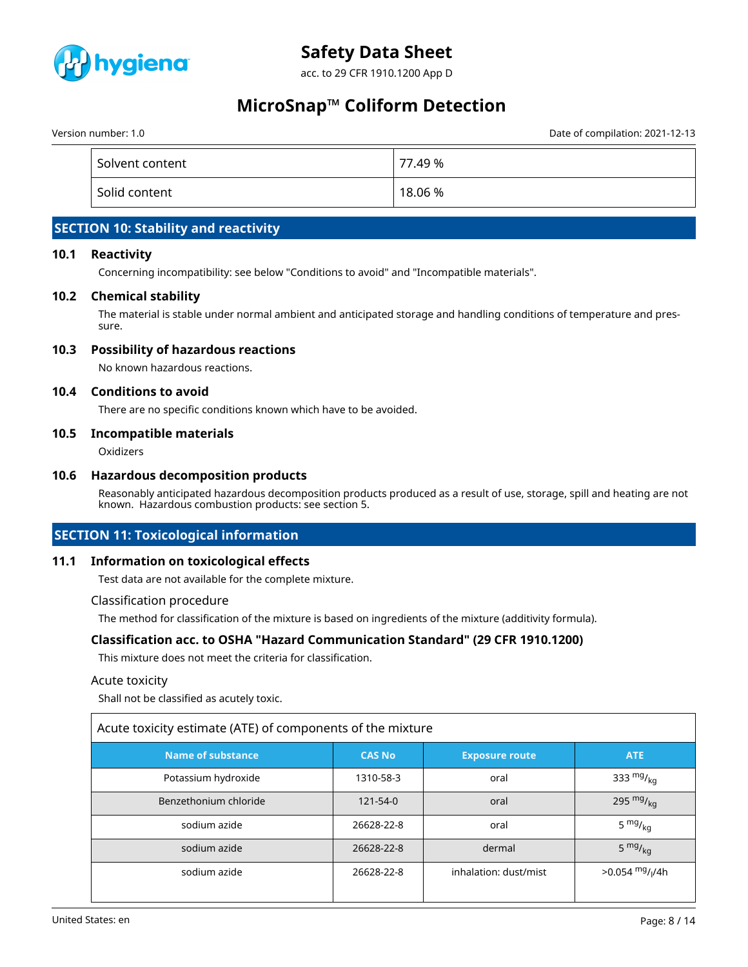

acc. to 29 CFR 1910.1200 App D

# **MicroSnap™ Coliform Detection**

Version number: 1.0 Date of compilation: 2021-12-13

| Solvent content | 77.49 % |
|-----------------|---------|
| Solid content   | 18.06 % |

# **SECTION 10: Stability and reactivity**

### **10.1 Reactivity**

Concerning incompatibility: see below "Conditions to avoid" and "Incompatible materials".

#### **10.2 Chemical stability**

The material is stable under normal ambient and anticipated storage and handling conditions of temperature and pressure.

## **10.3 Possibility of hazardous reactions**

No known hazardous reactions.

#### **10.4 Conditions to avoid**

There are no specific conditions known which have to be avoided.

#### **10.5 Incompatible materials**

**Oxidizers** 

#### **10.6 Hazardous decomposition products**

Reasonably anticipated hazardous decomposition products produced as a result of use, storage, spill and heating are not known. Hazardous combustion products: see section 5.

## **SECTION 11: Toxicological information**

## **11.1 Information on toxicological effects**

Test data are not available for the complete mixture.

#### Classification procedure

The method for classification of the mixture is based on ingredients of the mixture (additivity formula).

#### **Classification acc. to OSHA "Hazard Communication Standard" (29 CFR 1910.1200)**

This mixture does not meet the criteria for classification.

#### Acute toxicity

Shall not be classified as acutely toxic.

| Acute toxicity estimate (ATE) of components of the mixture |                                        |                       |                                           |  |  |  |  |
|------------------------------------------------------------|----------------------------------------|-----------------------|-------------------------------------------|--|--|--|--|
| <b>Name of substance</b>                                   | <b>CAS No</b><br><b>Exposure route</b> |                       | <b>ATE</b>                                |  |  |  |  |
| Potassium hydroxide                                        | 1310-58-3                              | oral                  | 333 $mg/kq$                               |  |  |  |  |
| Benzethonium chloride                                      | $121 - 54 - 0$                         | oral                  | 295 $mg/_{kg}$                            |  |  |  |  |
| sodium azide                                               | 26628-22-8                             | oral                  | $5 \frac{mg}{kg}$                         |  |  |  |  |
| sodium azide                                               | 26628-22-8                             | dermal                | $5 \frac{mg}{kg}$                         |  |  |  |  |
| sodium azide                                               | 26628-22-8                             | inhalation: dust/mist | $>0.054$ <sup>mg</sup> / <sub>l</sub> /4h |  |  |  |  |

Г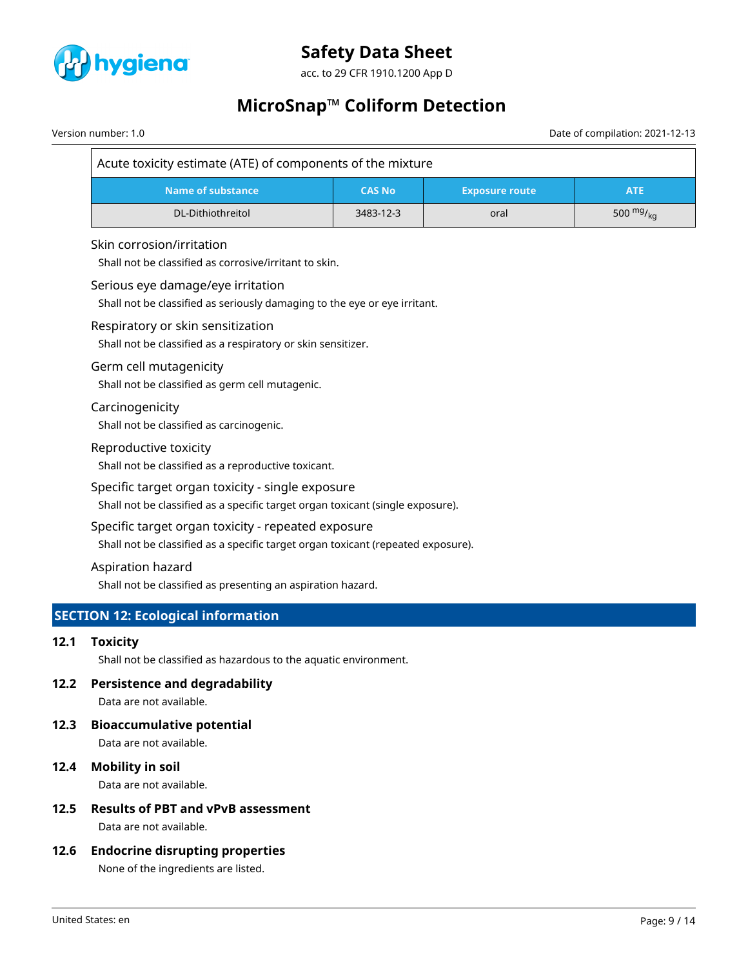

acc. to 29 CFR 1910.1200 App D

# **MicroSnap™ Coliform Detection**

Version number: 1.0 Date of compilation: 2021-12-13

| Acute toxicity estimate (ATE) of components of the mixture |               |                       |             |  |  |  |  |
|------------------------------------------------------------|---------------|-----------------------|-------------|--|--|--|--|
| Name of substance                                          | <b>CAS No</b> | <b>Exposure route</b> | <b>ATE</b>  |  |  |  |  |
| DL-Dithiothreitol                                          | 3483-12-3     | oral                  | 500 $mg/mg$ |  |  |  |  |

## Skin corrosion/irritation

Shall not be classified as corrosive/irritant to skin.

#### Serious eye damage/eye irritation

Shall not be classified as seriously damaging to the eye or eye irritant.

#### Respiratory or skin sensitization

Shall not be classified as a respiratory or skin sensitizer.

#### Germ cell mutagenicity

Shall not be classified as germ cell mutagenic.

#### Carcinogenicity

Shall not be classified as carcinogenic.

#### Reproductive toxicity

Shall not be classified as a reproductive toxicant.

## Specific target organ toxicity - single exposure

Shall not be classified as a specific target organ toxicant (single exposure).

## Specific target organ toxicity - repeated exposure

Shall not be classified as a specific target organ toxicant (repeated exposure).

#### Aspiration hazard

Shall not be classified as presenting an aspiration hazard.

# **SECTION 12: Ecological information**

## **12.1 Toxicity**

Shall not be classified as hazardous to the aquatic environment.

## **12.2 Persistence and degradability**

Data are not available.

#### **12.3 Bioaccumulative potential**

Data are not available.

## **12.4 Mobility in soil**

Data are not available.

## **12.5 Results of PBT and vPvB assessment**

Data are not available.

## **12.6 Endocrine disrupting properties**

None of the ingredients are listed.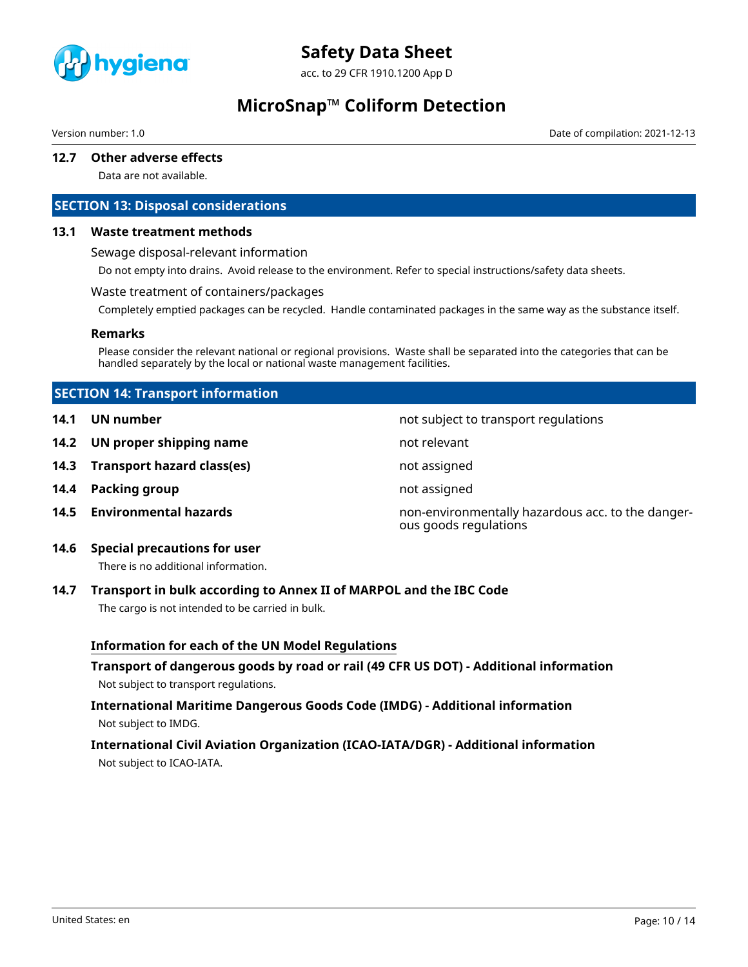

acc. to 29 CFR 1910.1200 App D

# **MicroSnap™ Coliform Detection**

Version number: 1.0 Date of compilation: 2021-12-13

# **12.7 Other adverse effects**

Data are not available.

## **SECTION 13: Disposal considerations**

### **13.1 Waste treatment methods**

Sewage disposal-relevant information

Do not empty into drains. Avoid release to the environment. Refer to special instructions/safety data sheets.

#### Waste treatment of containers/packages

Completely emptied packages can be recycled. Handle contaminated packages in the same way as the substance itself.

#### **Remarks**

Please consider the relevant national or regional provisions. Waste shall be separated into the categories that can be handled separately by the local or national waste management facilities.

# **SECTION 14: Transport information**

- 
- **14.2 UN proper shipping name** not relevant
- **14.3 Transport hazard class(es)** not assigned
- **14.4 Packing group not assigned**
- 

**14.1 UN number 14.1 UN** number

**14.5 Environmental hazards** non-environmentally hazardous acc. to the dangerous goods regulations

#### **14.6 Special precautions for user**

There is no additional information.

## **14.7 Transport in bulk according to Annex II of MARPOL and the IBC Code**

The cargo is not intended to be carried in bulk.

## **Information for each of the UN Model Regulations**

**Transport of dangerous goods by road or rail (49 CFR US DOT) - Additional information** Not subject to transport regulations.

## **International Maritime Dangerous Goods Code (IMDG) - Additional information** Not subject to IMDG.

# **International Civil Aviation Organization (ICAO-IATA/DGR) - Additional information** Not subject to ICAO-IATA.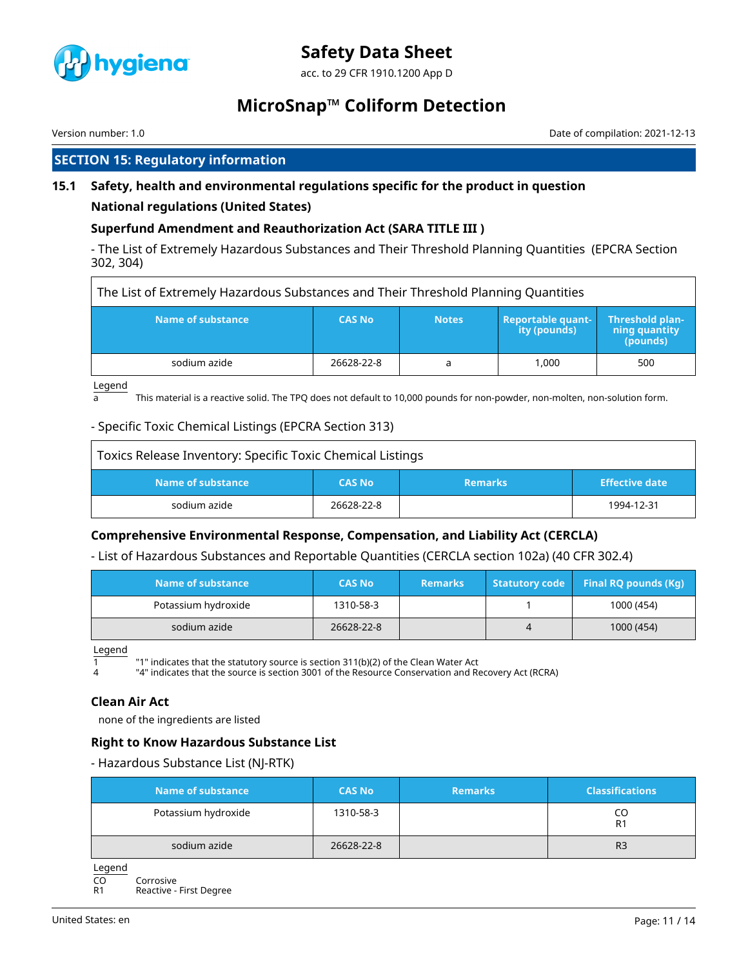

acc. to 29 CFR 1910.1200 App D

# **MicroSnap™ Coliform Detection**

Version number: 1.0 Date of compilation: 2021-12-13

# **SECTION 15: Regulatory information**

# **15.1 Safety, health and environmental regulations specific for the product in question**

## **National regulations (United States)**

# **Superfund Amendment and Reauthorization Act (SARA TITLE III )**

- The List of Extremely Hazardous Substances and Their Threshold Planning Quantities (EPCRA Section 302, 304)

| The List of Extremely Hazardous Substances and Their Threshold Planning Quantities |               |              |                                          |                                                     |  |  |  |
|------------------------------------------------------------------------------------|---------------|--------------|------------------------------------------|-----------------------------------------------------|--|--|--|
| Name of substance                                                                  | <b>CAS No</b> | <b>Notes</b> | <b>Reportable quant-</b><br>ity (pounds) | <b>Threshold plan-</b><br>ning quantity<br>(pounds) |  |  |  |
| sodium azide                                                                       | 26628-22-8    | a            | 1.000                                    | 500                                                 |  |  |  |

Legend

 $\overline{\Gamma}$ 

 $\frac{1}{a}$  This material is a reactive solid. The TPQ does not default to 10,000 pounds for non-powder, non-molten, non-solution form.

## - Specific Toxic Chemical Listings (EPCRA Section 313)

| Toxics Release Inventory: Specific Toxic Chemical Listings |               |                |                       |
|------------------------------------------------------------|---------------|----------------|-----------------------|
| Name of substance                                          | <b>CAS No</b> | <b>Remarks</b> | <b>Effective date</b> |
| sodium azide                                               | 26628-22-8    |                | 1994-12-31            |

## **Comprehensive Environmental Response, Compensation, and Liability Act (CERCLA)**

## - List of Hazardous Substances and Reportable Quantities (CERCLA section 102a) (40 CFR 302.4)

| Name of substance   | <b>CAS No</b> | <b>Remarks</b> |   | Statutory code Final RQ pounds (Kg) |
|---------------------|---------------|----------------|---|-------------------------------------|
| Potassium hydroxide | 1310-58-3     |                |   | 1000 (454)                          |
| sodium azide        | 26628-22-8    |                | 4 | 1000 (454)                          |

Legend

 $\overline{1}$   $\overline{1}$  "1" indicates that the statutory source is section 311(b)(2) of the Clean Water Act<br> $\overline{1}$   $\overline{2}$  "4" indicates that the source is section 3001 of the Resource Conservation and Re

"4" indicates that the source is section 3001 of the Resource Conservation and Recovery Act (RCRA)

## **Clean Air Act**

none of the ingredients are listed

## **Right to Know Hazardous Substance List**

- Hazardous Substance List (NJ-RTK)

| Name of substance   | <b>CAS No</b> | <b>Remarks</b> | <b>Classifications</b> |
|---------------------|---------------|----------------|------------------------|
| Potassium hydroxide | 1310-58-3     |                | R1                     |
| sodium azide        | 26628-22-8    |                | R <sub>3</sub>         |

Legend

CO Corrosive<br>R1 Reactive -

Reactive - First Degree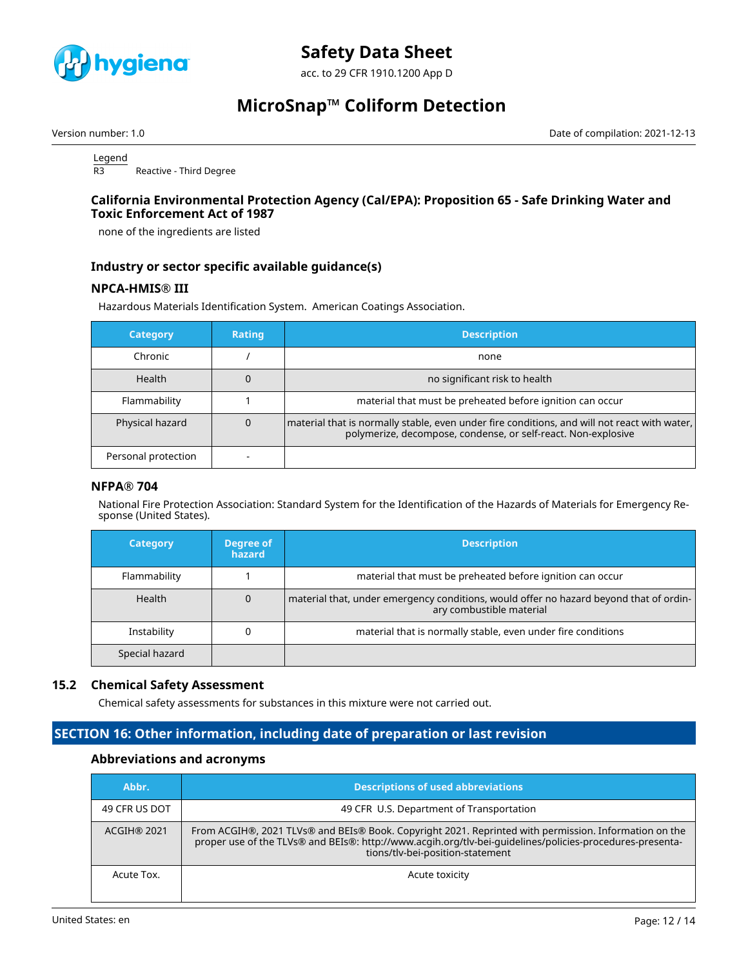

acc. to 29 CFR 1910.1200 App D

# **MicroSnap™ Coliform Detection**

Version number: 1.0 Date of compilation: 2021-12-13

Legend R3 Reactive - Third Degree

#### **California Environmental Protection Agency (Cal/EPA): Proposition 65 - Safe Drinking Water and Toxic Enforcement Act of 1987**

none of the ingredients are listed

## **Industry or sector specific available guidance(s)**

## **NPCA-HMIS® III**

Hazardous Materials Identification System. American Coatings Association.

| <b>Category</b>     | <b>Rating</b> | <b>Description</b>                                                                                                                                              |
|---------------------|---------------|-----------------------------------------------------------------------------------------------------------------------------------------------------------------|
| Chronic             |               | none                                                                                                                                                            |
| <b>Health</b>       | 0             | no significant risk to health                                                                                                                                   |
| Flammability        |               | material that must be preheated before ignition can occur                                                                                                       |
| Physical hazard     | 0             | material that is normally stable, even under fire conditions, and will not react with water,  <br>polymerize, decompose, condense, or self-react. Non-explosive |
| Personal protection |               |                                                                                                                                                                 |

## **NFPA® 704**

National Fire Protection Association: Standard System for the Identification of the Hazards of Materials for Emergency Response (United States).

| <b>Category</b> | Degree of<br>hazard | <b>Description</b>                                                                                                 |
|-----------------|---------------------|--------------------------------------------------------------------------------------------------------------------|
| Flammability    |                     | material that must be preheated before ignition can occur                                                          |
| <b>Health</b>   |                     | material that, under emergency conditions, would offer no hazard beyond that of ordin-<br>ary combustible material |
| Instability     |                     | material that is normally stable, even under fire conditions                                                       |
| Special hazard  |                     |                                                                                                                    |

## **15.2 Chemical Safety Assessment**

Chemical safety assessments for substances in this mixture were not carried out.

# **SECTION 16: Other information, including date of preparation or last revision**

## **Abbreviations and acronyms**

| Abbr.         | <b>Descriptions of used abbreviations</b>                                                                                                                                                                                                             |
|---------------|-------------------------------------------------------------------------------------------------------------------------------------------------------------------------------------------------------------------------------------------------------|
| 49 CFR US DOT | 49 CFR U.S. Department of Transportation                                                                                                                                                                                                              |
| ACGIH® 2021   | From ACGIH®, 2021 TLVs® and BEIs® Book. Copyright 2021. Reprinted with permission. Information on the<br>proper use of the TLVs® and BEIs®: http://www.acgih.org/tlv-bei-guidelines/policies-procedures-presenta-<br>tions/tlv-bei-position-statement |
| Acute Tox.    | Acute toxicity                                                                                                                                                                                                                                        |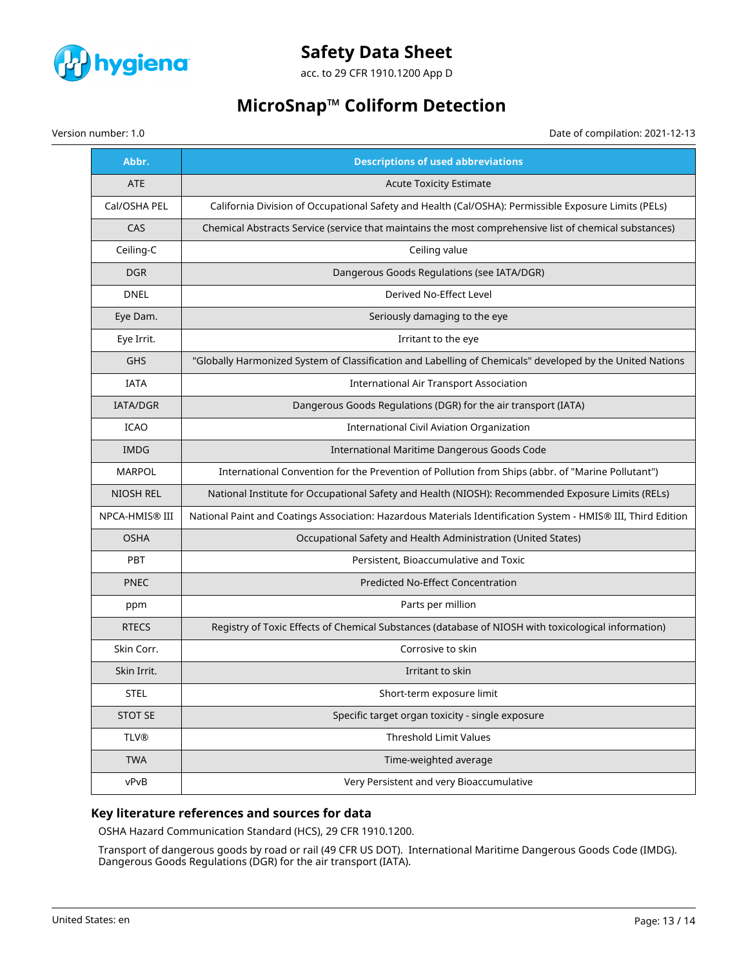

acc. to 29 CFR 1910.1200 App D

# **MicroSnap™ Coliform Detection**

Version number: 1.0 Date of compilation: 2021-12-13

| Abbr.            | <b>Descriptions of used abbreviations</b>                                                                     |
|------------------|---------------------------------------------------------------------------------------------------------------|
| <b>ATE</b>       | <b>Acute Toxicity Estimate</b>                                                                                |
| Cal/OSHA PEL     | California Division of Occupational Safety and Health (Cal/OSHA): Permissible Exposure Limits (PELs)          |
| CAS              | Chemical Abstracts Service (service that maintains the most comprehensive list of chemical substances)        |
| Ceiling-C        | Ceiling value                                                                                                 |
| <b>DGR</b>       | Dangerous Goods Regulations (see IATA/DGR)                                                                    |
| <b>DNEL</b>      | Derived No-Effect Level                                                                                       |
| Eye Dam.         | Seriously damaging to the eye                                                                                 |
| Eye Irrit.       | Irritant to the eye                                                                                           |
| <b>GHS</b>       | "Globally Harmonized System of Classification and Labelling of Chemicals" developed by the United Nations     |
| <b>IATA</b>      | <b>International Air Transport Association</b>                                                                |
| IATA/DGR         | Dangerous Goods Regulations (DGR) for the air transport (IATA)                                                |
| <b>ICAO</b>      | International Civil Aviation Organization                                                                     |
| <b>IMDG</b>      | International Maritime Dangerous Goods Code                                                                   |
| <b>MARPOL</b>    | International Convention for the Prevention of Pollution from Ships (abbr. of "Marine Pollutant")             |
| <b>NIOSH REL</b> | National Institute for Occupational Safety and Health (NIOSH): Recommended Exposure Limits (RELs)             |
| NPCA-HMIS® III   | National Paint and Coatings Association: Hazardous Materials Identification System - HMIS® III, Third Edition |
| <b>OSHA</b>      | Occupational Safety and Health Administration (United States)                                                 |
| <b>PBT</b>       | Persistent, Bioaccumulative and Toxic                                                                         |
| <b>PNEC</b>      | Predicted No-Effect Concentration                                                                             |
| ppm              | Parts per million                                                                                             |
| <b>RTECS</b>     | Registry of Toxic Effects of Chemical Substances (database of NIOSH with toxicological information)           |
| Skin Corr.       | Corrosive to skin                                                                                             |
| Skin Irrit.      | Irritant to skin                                                                                              |
| <b>STEL</b>      | Short-term exposure limit                                                                                     |
| <b>STOT SE</b>   | Specific target organ toxicity - single exposure                                                              |
| <b>TLV®</b>      | Threshold Limit Values                                                                                        |
| <b>TWA</b>       | Time-weighted average                                                                                         |
| vPvB             | Very Persistent and very Bioaccumulative                                                                      |

## **Key literature references and sources for data**

OSHA Hazard Communication Standard (HCS), 29 CFR 1910.1200.

Transport of dangerous goods by road or rail (49 CFR US DOT). International Maritime Dangerous Goods Code (IMDG). Dangerous Goods Regulations (DGR) for the air transport (IATA).